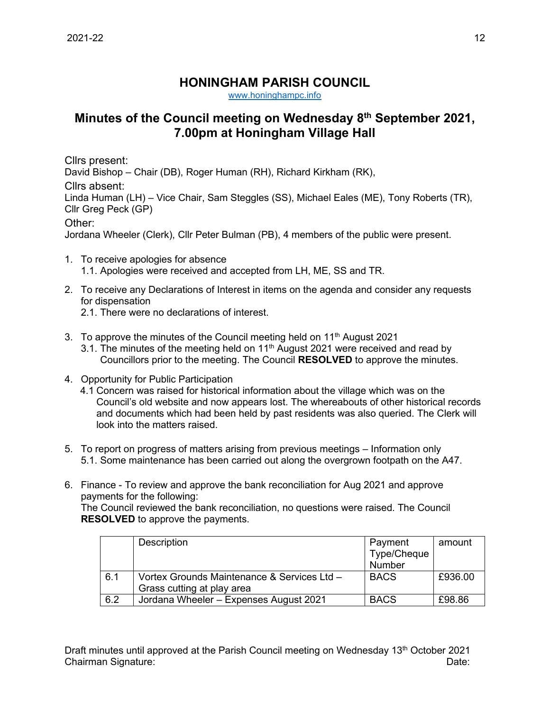## **HONINGHAM PARISH COUNCIL**

[www.honinghampc.info](http://www.honinghampc.info/)

## **Minutes of the Council meeting on Wednesday 8 th September 2021, 7.00pm at Honingham Village Hall**

Cllrs present: David Bishop – Chair (DB), Roger Human (RH), Richard Kirkham (RK), Cllrs absent: Linda Human (LH) – Vice Chair, Sam Steggles (SS), Michael Eales (ME), Tony Roberts (TR), Cllr Greg Peck (GP) Other:

Jordana Wheeler (Clerk), Cllr Peter Bulman (PB), 4 members of the public were present.

- 1. To receive apologies for absence 1.1. Apologies were received and accepted from LH, ME, SS and TR.
- 2. To receive any Declarations of Interest in items on the agenda and consider any requests for dispensation
	- 2.1. There were no declarations of interest.
- 3. To approve the minutes of the Council meeting held on  $11<sup>th</sup>$  August 2021
	- 3.1. The minutes of the meeting held on 11<sup>th</sup> August 2021 were received and read by Councillors prior to the meeting. The Council **RESOLVED** to approve the minutes.
- 4. Opportunity for Public Participation
	- 4.1 Concern was raised for historical information about the village which was on the Council's old website and now appears lost. The whereabouts of other historical records and documents which had been held by past residents was also queried. The Clerk will look into the matters raised.
- 5. To report on progress of matters arising from previous meetings Information only 5.1. Some maintenance has been carried out along the overgrown footpath on the A47.
- 6. Finance To review and approve the bank reconciliation for Aug 2021 and approve payments for the following:

The Council reviewed the bank reconciliation, no questions were raised. The Council **RESOLVED** to approve the payments.

|     | Description                                 | Payment     | amount  |
|-----|---------------------------------------------|-------------|---------|
|     |                                             | Type/Cheque |         |
|     |                                             | Number      |         |
| 6.1 | Vortex Grounds Maintenance & Services Ltd - | <b>BACS</b> | £936.00 |
|     | Grass cutting at play area                  |             |         |
| 6.2 | Jordana Wheeler - Expenses August 2021      | <b>BACS</b> | £98.86  |

Draft minutes until approved at the Parish Council meeting on Wednesday 13<sup>th</sup> October 2021 Chairman Signature: Date: Date: Date: Date: Date: Date: Date: Date: Date: Date: Date: Date: Date: Date: Date: Date: Date: Date: Date: Date: Date: Date: Date: Date: Date: Date: Date: Date: Date: Date: Date: Date: Date: Date